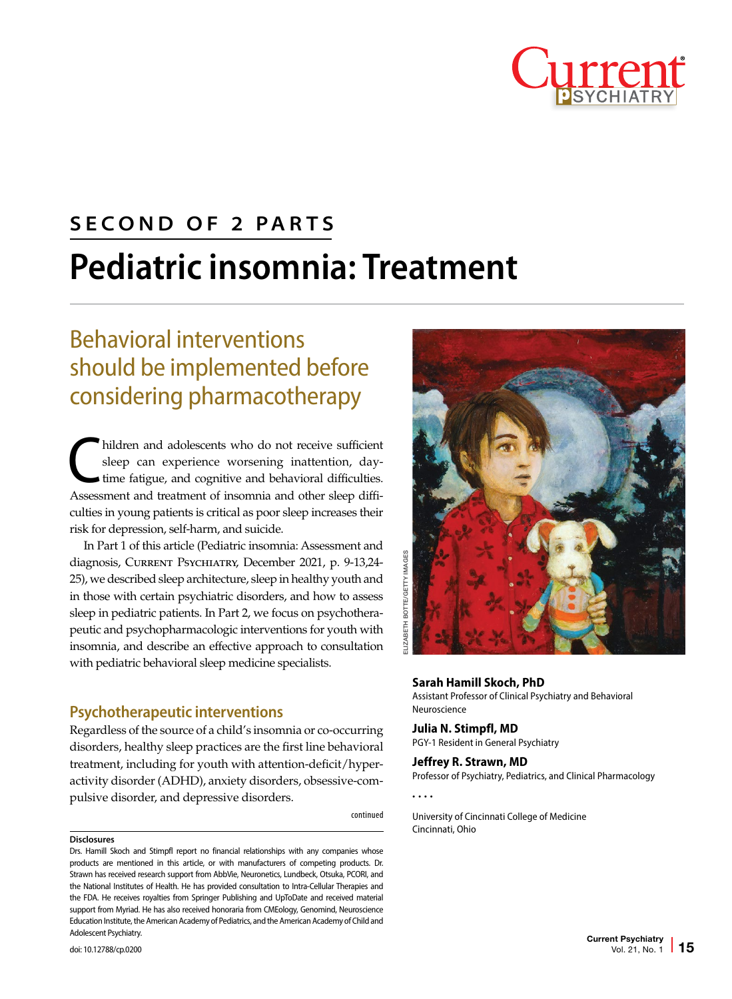

## **SECOND OF 2 PARTS Pediatric insomnia: Treatment**

### Behavioral interventions should be implemented before considering pharmacotherapy

hildren and adolescents who do not receive sufficient<br>sleep can experience worsening inattention, day-<br>time fatigue, and cognitive and behavioral difficulties. sleep can experience worsening inattention, daytime fatigue, and cognitive and behavioral difficulties. Assessment and treatment of insomnia and other sleep difficulties in young patients is critical as poor sleep increases their risk for depression, self-harm, and suicide.

In Part 1 of this article (Pediatric insomnia: Assessment and diagnosis, Current Psychiatry, December 2021, p. 9-13,24- 25), we described sleep architecture, sleep in healthy youth and in those with certain psychiatric disorders, and how to assess sleep in pediatric patients. In Part 2, we focus on psychotherapeutic and psychopharmacologic interventions for youth with insomnia, and describe an effective approach to consultation with pediatric behavioral sleep medicine specialists.

#### **Psychotherapeutic interventions**

Regardless of the source of a child's insomnia or co-occurring disorders, healthy sleep practices are the first line behavioral treatment, including for youth with attention-deficit/hyperactivity disorder (ADHD), anxiety disorders, obsessive-compulsive disorder, and depressive disorders.

continued

#### **Disclosures**

Drs. Hamill Skoch and Stimpfl report no financial relationships with any companies whose products are mentioned in this article, or with manufacturers of competing products. Dr. Strawn has received research support from AbbVie, Neuronetics, Lundbeck, Otsuka, PCORI, and the National Institutes of Health. He has provided consultation to Intra-Cellular Therapies and the FDA. He receives royalties from Springer Publishing and UpToDate and received material support from Myriad. He has also received honoraria from CMEology, Genomind, Neuroscience Education Institute, the American Academy of Pediatrics, and the American Academy of Child and Adolescent Psychiatry.



#### **Sarah Hamill Skoch, PhD**

Assistant Professor of Clinical Psychiatry and Behavioral Neuroscience

#### **Julia N. Stimpfl, MD**

PGY-1 Resident in General Psychiatry

#### **Jeffrey R. Strawn, MD** Professor of Psychiatry, Pediatrics, and Clinical Pharmacology

• • • •

University of Cincinnati College of Medicine Cincinnati, Ohio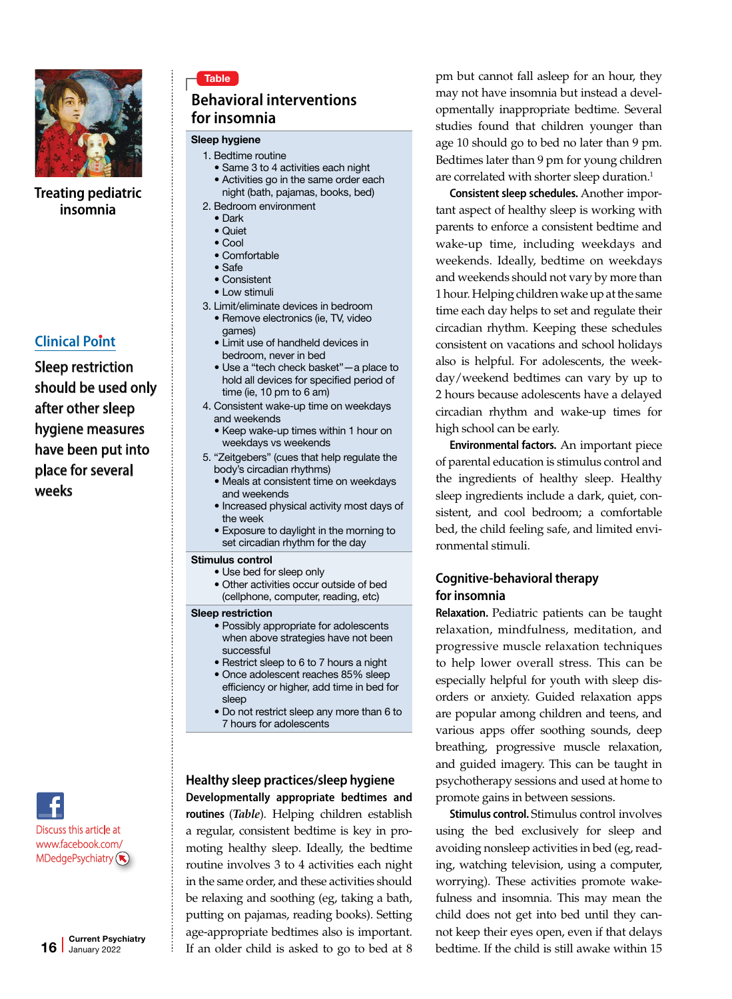

**Treating pediatric insomnia**

#### **Clinical Point**

Sleep restriction should be used only after other sleep hygiene measures have been put into place for several weeks



#### **Behavioral interventions for insomnia**

#### Sleep hygiene

- 1. Bedtime routine
	- Same 3 to 4 activities each night
	- Activities go in the same order each night (bath, pajamas, books, bed)
- 2. Bedroom environment
	- Dark
	- Quiet • Cool
	- Comfortable
	- Safe
	- Consistent
	- Low stimuli
- 3. Limit/eliminate devices in bedroom
	- Remove electronics (ie, TV, video games)
	- Limit use of handheld devices in bedroom, never in bed
	- Use a "tech check basket"—a place to hold all devices for specified period of time (ie, 10 pm to 6 am)
- 4. Consistent wake-up time on weekdays and weekends
	- Keep wake-up times within 1 hour on weekdays vs weekends
- 5. "Zeitgebers" (cues that help regulate the body's circadian rhythms)
	- Meals at consistent time on weekdays and weekends
	- Increased physical activity most days of the week
- Exposure to daylight in the morning to set circadian rhythm for the day

#### Stimulus control

- Use bed for sleep only
	- Other activities occur outside of bed (cellphone, computer, reading, etc)

#### Sleep restriction

- Possibly appropriate for adolescents when above strategies have not been successful
- Restrict sleep to 6 to 7 hours a night
- Once adolescent reaches 85% sleep efficiency or higher, add time in bed for sleep
- Do not restrict sleep any more than 6 to 7 hours for adolescents

#### **Healthy sleep practices/sleep hygiene Developmentally appropriate bedtimes and routines** (*Table*). Helping children establish

a regular, consistent bedtime is key in promoting healthy sleep. Ideally, the bedtime routine involves 3 to 4 activities each night in the same order, and these activities should be relaxing and soothing (eg, taking a bath, putting on pajamas, reading books). Setting age-appropriate bedtimes also is important. If an older child is asked to go to bed at 8

pm but cannot fall asleep for an hour, they may not have insomnia but instead a developmentally inappropriate bedtime. Several studies found that children younger than age 10 should go to bed no later than 9 pm. Bedtimes later than 9 pm for young children are correlated with shorter sleep duration.<sup>1</sup>

**Consistent sleep schedules.** Another important aspect of healthy sleep is working with parents to enforce a consistent bedtime and wake-up time, including weekdays and weekends. Ideally, bedtime on weekdays and weekends should not vary by more than 1 hour. Helping children wake up at the same time each day helps to set and regulate their circadian rhythm. Keeping these schedules consistent on vacations and school holidays also is helpful. For adolescents, the weekday/weekend bedtimes can vary by up to 2 hours because adolescents have a delayed circadian rhythm and wake-up times for high school can be early.

**Environmental factors.** An important piece of parental education is stimulus control and the ingredients of healthy sleep. Healthy sleep ingredients include a dark, quiet, consistent, and cool bedroom; a comfortable bed, the child feeling safe, and limited environmental stimuli.

#### **Cognitive-behavioral therapy for insomnia**

**Relaxation.** Pediatric patients can be taught relaxation, mindfulness, meditation, and progressive muscle relaxation techniques to help lower overall stress. This can be especially helpful for youth with sleep disorders or anxiety. Guided relaxation apps are popular among children and teens, and various apps offer soothing sounds, deep breathing, progressive muscle relaxation, and guided imagery. This can be taught in psychotherapy sessions and used at home to promote gains in between sessions.

**Stimulus control.** Stimulus control involves using the bed exclusively for sleep and avoiding nonsleep activities in bed (eg, reading, watching television, using a computer, worrying). These activities promote wakefulness and insomnia. This may mean the child does not get into bed until they cannot keep their eyes open, even if that delays bedtime. If the child is still awake within 15

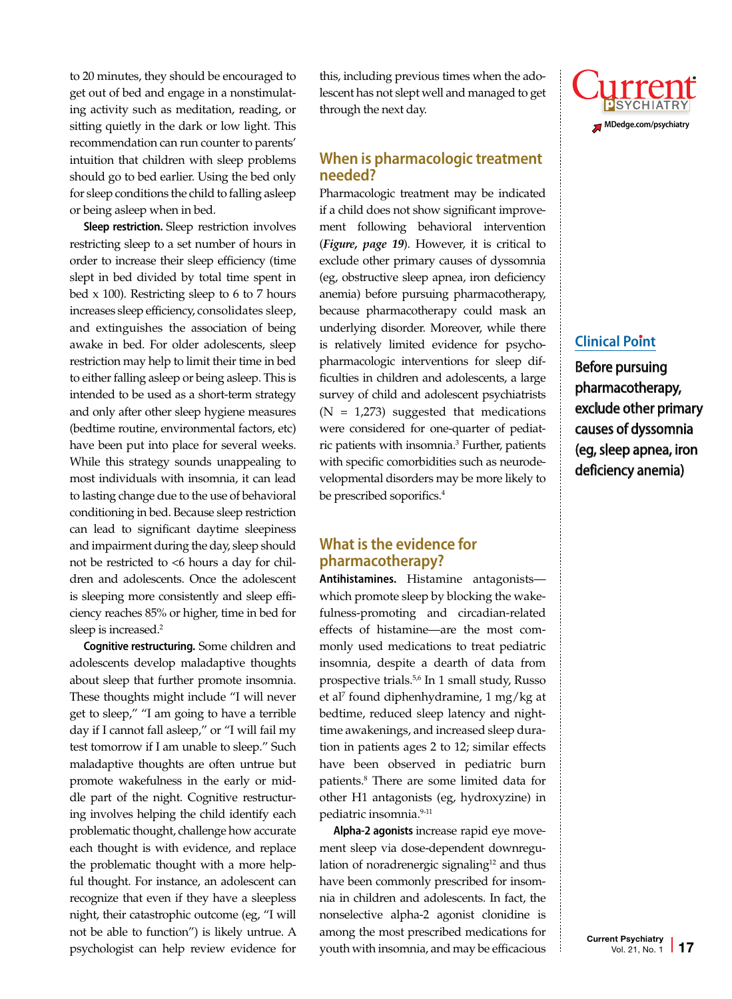to 20 minutes, they should be encouraged to get out of bed and engage in a nonstimulating activity such as meditation, reading, or sitting quietly in the dark or low light. This recommendation can run counter to parents' intuition that children with sleep problems should go to bed earlier. Using the bed only for sleep conditions the child to falling asleep or being asleep when in bed.

**Sleep restriction.** Sleep restriction involves restricting sleep to a set number of hours in order to increase their sleep efficiency (time slept in bed divided by total time spent in bed x 100). Restricting sleep to 6 to 7 hours increases sleep efficiency, consolidates sleep, and extinguishes the association of being awake in bed. For older adolescents, sleep restriction may help to limit their time in bed to either falling asleep or being asleep. This is intended to be used as a short-term strategy and only after other sleep hygiene measures (bedtime routine, environmental factors, etc) have been put into place for several weeks. While this strategy sounds unappealing to most individuals with insomnia, it can lead to lasting change due to the use of behavioral conditioning in bed. Because sleep restriction can lead to significant daytime sleepiness and impairment during the day, sleep should not be restricted to <6 hours a day for children and adolescents. Once the adolescent is sleeping more consistently and sleep efficiency reaches 85% or higher, time in bed for sleep is increased.<sup>2</sup>

**Cognitive restructuring.** Some children and adolescents develop maladaptive thoughts about sleep that further promote insomnia. These thoughts might include "I will never get to sleep," "I am going to have a terrible day if I cannot fall asleep," or "I will fail my test tomorrow if I am unable to sleep." Such maladaptive thoughts are often untrue but promote wakefulness in the early or middle part of the night. Cognitive restructuring involves helping the child identify each problematic thought, challenge how accurate each thought is with evidence, and replace the problematic thought with a more helpful thought. For instance, an adolescent can recognize that even if they have a sleepless night, their catastrophic outcome (eg, "I will not be able to function") is likely untrue. A psychologist can help review evidence for this, including previous times when the adolescent has not slept well and managed to get through the next day.

#### **When is pharmacologic treatment needed?**

Pharmacologic treatment may be indicated if a child does not show significant improvement following behavioral intervention (*Figure, page 19*). However, it is critical to exclude other primary causes of dyssomnia (eg, obstructive sleep apnea, iron deficiency anemia) before pursuing pharmacotherapy, because pharmacotherapy could mask an underlying disorder. Moreover, while there is relatively limited evidence for psychopharmacologic interventions for sleep difficulties in children and adolescents, a large survey of child and adolescent psychiatrists  $(N = 1,273)$  suggested that medications were considered for one-quarter of pediatric patients with insomnia.3 Further, patients with specific comorbidities such as neurodevelopmental disorders may be more likely to be prescribed soporifics.<sup>4</sup>

#### **What is the evidence for pharmacotherapy?**

**Antihistamines.** Histamine antagonists which promote sleep by blocking the wakefulness-promoting and circadian-related effects of histamine—are the most commonly used medications to treat pediatric insomnia, despite a dearth of data from prospective trials.<sup>5,6</sup> In 1 small study, Russo et al7 found diphenhydramine, 1 mg/kg at bedtime, reduced sleep latency and nighttime awakenings, and increased sleep duration in patients ages 2 to 12; similar effects have been observed in pediatric burn patients.8 There are some limited data for other H1 antagonists (eg, hydroxyzine) in pediatric insomnia.<sup>9-11</sup>

**Alpha-2 agonists** increase rapid eye movement sleep via dose-dependent downregulation of noradrenergic signaling<sup>12</sup> and thus have been commonly prescribed for insomnia in children and adolescents. In fact, the nonselective alpha-2 agonist clonidine is among the most prescribed medications for youth with insomnia, and may be efficacious



#### **Clinical Point**

Before pursuing pharmacotherapy, exclude other primary causes of dyssomnia (eg, sleep apnea, iron deficiency anemia)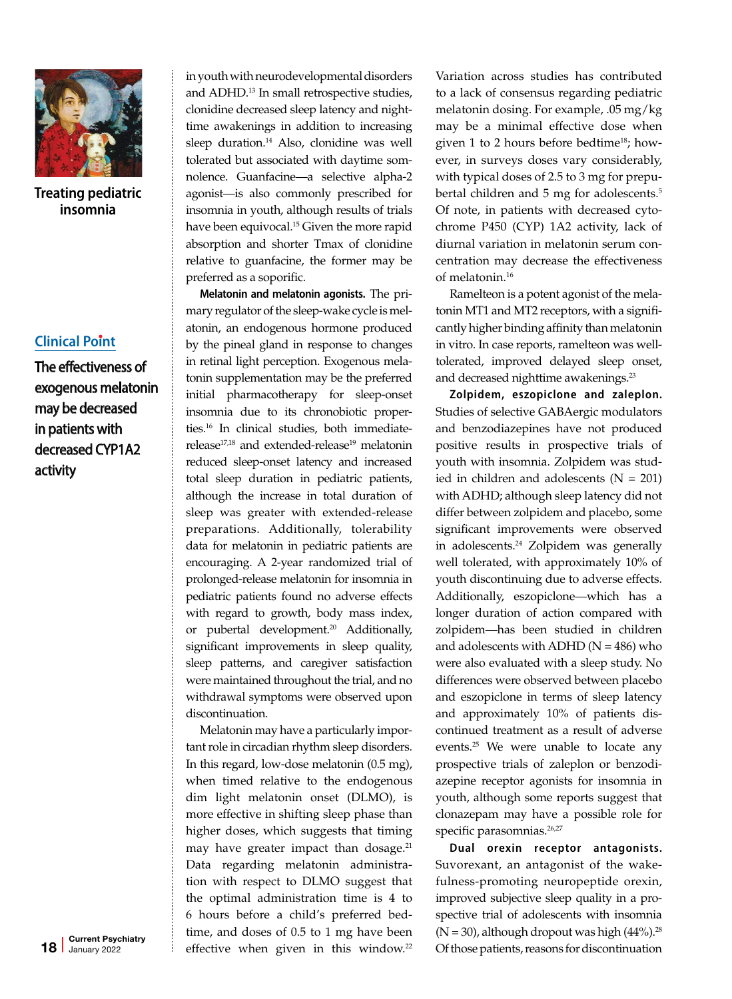

**Treating pediatric insomnia**

#### **Clinical Point**

The effectiveness of exogenous melatonin may be decreased in patients with decreased CYP1A2 activity

in youth with neurodevelopmental disorders and ADHD.13 In small retrospective studies, clonidine decreased sleep latency and nighttime awakenings in addition to increasing sleep duration.<sup>14</sup> Also, clonidine was well tolerated but associated with daytime somnolence. Guanfacine—a selective alpha-2 agonist—is also commonly prescribed for insomnia in youth, although results of trials have been equivocal.<sup>15</sup> Given the more rapid absorption and shorter Tmax of clonidine relative to guanfacine, the former may be preferred as a soporific.

**Melatonin and melatonin agonists.** The primary regulator of the sleep-wake cycle is melatonin, an endogenous hormone produced by the pineal gland in response to changes in retinal light perception. Exogenous melatonin supplementation may be the preferred initial pharmacotherapy for sleep-onset insomnia due to its chronobiotic properties.16 In clinical studies, both immediaterelease<sup>17,18</sup> and extended-release<sup>19</sup> melatonin reduced sleep-onset latency and increased total sleep duration in pediatric patients, although the increase in total duration of sleep was greater with extended-release preparations. Additionally, tolerability data for melatonin in pediatric patients are encouraging. A 2-year randomized trial of prolonged-release melatonin for insomnia in pediatric patients found no adverse effects with regard to growth, body mass index, or pubertal development.<sup>20</sup> Additionally, significant improvements in sleep quality, sleep patterns, and caregiver satisfaction were maintained throughout the trial, and no withdrawal symptoms were observed upon discontinuation.

Melatonin may have a particularly important role in circadian rhythm sleep disorders. In this regard, low-dose melatonin (0.5 mg), when timed relative to the endogenous dim light melatonin onset (DLMO), is more effective in shifting sleep phase than higher doses, which suggests that timing may have greater impact than dosage.<sup>21</sup> Data regarding melatonin administration with respect to DLMO suggest that the optimal administration time is 4 to 6 hours before a child's preferred bedtime, and doses of 0.5 to 1 mg have been effective when given in this window.<sup>22</sup>

Variation across studies has contributed to a lack of consensus regarding pediatric melatonin dosing. For example, .05 mg/kg may be a minimal effective dose when given 1 to 2 hours before bedtime<sup>18</sup>; however, in surveys doses vary considerably, with typical doses of 2.5 to 3 mg for prepubertal children and 5 mg for adolescents.<sup>5</sup> Of note, in patients with decreased cytochrome P450 (CYP) 1A2 activity, lack of diurnal variation in melatonin serum concentration may decrease the effectiveness of melatonin.16

Ramelteon is a potent agonist of the melatonin MT1 and MT2 receptors, with a significantly higher binding affinity than melatonin in vitro. In case reports, ramelteon was welltolerated, improved delayed sleep onset, and decreased nighttime awakenings.<sup>23</sup>

**Zolpidem, eszopiclone and zaleplon.** Studies of selective GABAergic modulators and benzodiazepines have not produced positive results in prospective trials of youth with insomnia. Zolpidem was studied in children and adolescents  $(N = 201)$ with ADHD; although sleep latency did not differ between zolpidem and placebo, some significant improvements were observed in adolescents.24 Zolpidem was generally well tolerated, with approximately 10% of youth discontinuing due to adverse effects. Additionally, eszopiclone—which has a longer duration of action compared with zolpidem—has been studied in children and adolescents with ADHD ( $N = 486$ ) who were also evaluated with a sleep study. No differences were observed between placebo and eszopiclone in terms of sleep latency and approximately 10% of patients discontinued treatment as a result of adverse events.25 We were unable to locate any prospective trials of zaleplon or benzodiazepine receptor agonists for insomnia in youth, although some reports suggest that clonazepam may have a possible role for specific parasomnias.<sup>26,27</sup>

**Dual orexin receptor antagonists.** Suvorexant, an antagonist of the wakefulness-promoting neuropeptide orexin, improved subjective sleep quality in a prospective trial of adolescents with insomnia  $(N = 30)$ , although dropout was high  $(44\%)$ .<sup>28</sup> Of those patients, reasons for discontinuation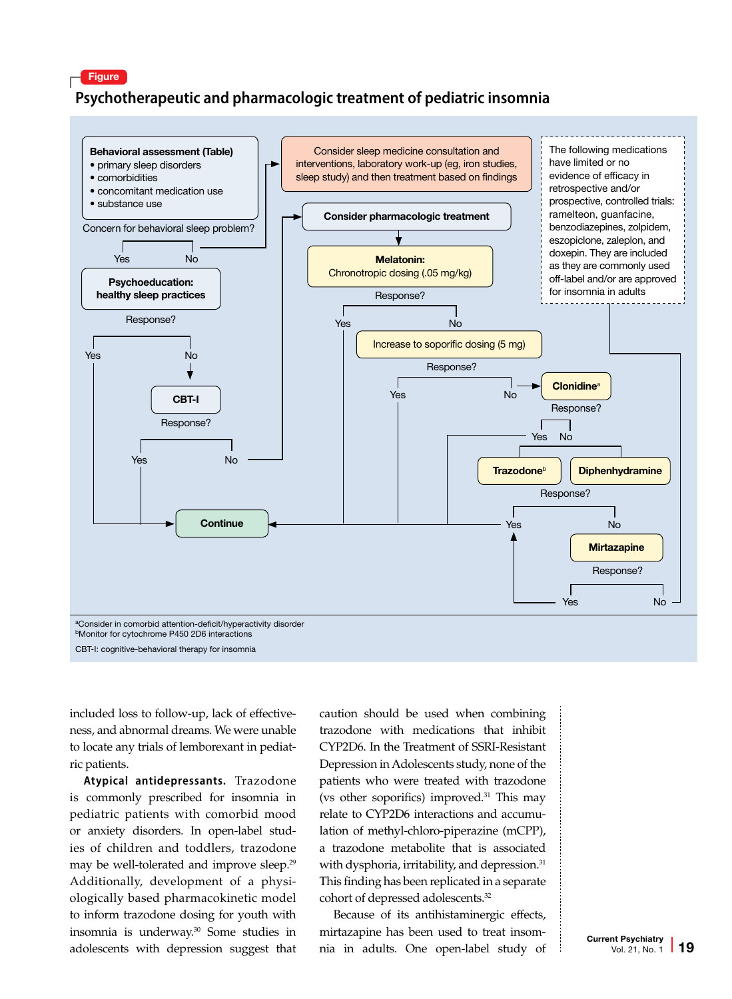#### Figure

#### **Psychotherapeutic and pharmacologic treatment of pediatric insomnia**



CBT-I: cognitive-behavioral therapy for insomnia

included loss to follow-up, lack of effectiveness, and abnormal dreams. We were unable to locate any trials of lemborexant in pediatric patients.

**Atypical antidepressants.** Trazodone is commonly prescribed for insomnia in pediatric patients with comorbid mood or anxiety disorders. In open-label studies of children and toddlers, trazodone may be well-tolerated and improve sleep.<sup>29</sup> Additionally, development of a physiologically based pharmacokinetic model to inform trazodone dosing for youth with insomnia is underway.30 Some studies in adolescents with depression suggest that caution should be used when combining trazodone with medications that inhibit CYP2D6. In the Treatment of SSRI-Resistant Depression in Adolescents study, none of the patients who were treated with trazodone (vs other soporifics) improved.31 This may relate to CYP2D6 interactions and accumulation of methyl-chloro-piperazine (mCPP), a trazodone metabolite that is associated with dysphoria, irritability, and depression.<sup>31</sup> This finding has been replicated in a separate cohort of depressed adolescents.32

Because of its antihistaminergic effects, mirtazapine has been used to treat insomnia in adults. One open-label study of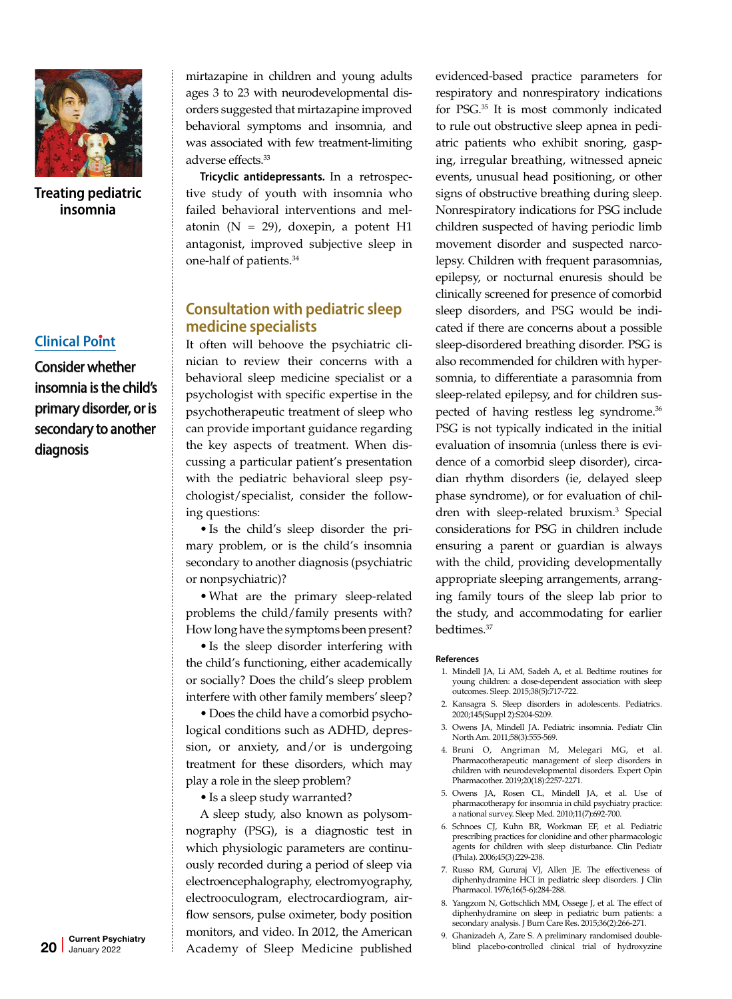

**Treating pediatric insomnia**

#### **Clinical Point**

Consider whether insomnia is the child's primary disorder, or is secondary to another diagnosis

mirtazapine in children and young adults ages 3 to 23 with neurodevelopmental disorders suggested that mirtazapine improved behavioral symptoms and insomnia, and was associated with few treatment-limiting adverse effects.33

**Tricyclic antidepressants.** In a retrospective study of youth with insomnia who failed behavioral interventions and melatonin ( $N = 29$ ), doxepin, a potent H1 antagonist, improved subjective sleep in one-half of patients.34

#### **Consultation with pediatric sleep medicine specialists**

It often will behoove the psychiatric clinician to review their concerns with a behavioral sleep medicine specialist or a psychologist with specific expertise in the psychotherapeutic treatment of sleep who can provide important guidance regarding the key aspects of treatment. When discussing a particular patient's presentation with the pediatric behavioral sleep psychologist/specialist, consider the following questions:

• Is the child's sleep disorder the primary problem, or is the child's insomnia secondary to another diagnosis (psychiatric or nonpsychiatric)?

•What are the primary sleep-related problems the child/family presents with? How long have the symptoms been present?

• Is the sleep disorder interfering with the child's functioning, either academically or socially? Does the child's sleep problem interfere with other family members' sleep?

• Does the child have a comorbid psychological conditions such as ADHD, depression, or anxiety, and/or is undergoing treatment for these disorders, which may play a role in the sleep problem?

• Is a sleep study warranted?

A sleep study, also known as polysomnography (PSG), is a diagnostic test in which physiologic parameters are continuously recorded during a period of sleep via electroencephalography, electromyography, electrooculogram, electrocardiogram, airflow sensors, pulse oximeter, body position monitors, and video. In 2012, the American Academy of Sleep Medicine published

evidenced-based practice parameters for respiratory and nonrespiratory indications for PSG.35 It is most commonly indicated to rule out obstructive sleep apnea in pediatric patients who exhibit snoring, gasping, irregular breathing, witnessed apneic events, unusual head positioning, or other signs of obstructive breathing during sleep. Nonrespiratory indications for PSG include children suspected of having periodic limb movement disorder and suspected narcolepsy. Children with frequent parasomnias, epilepsy, or nocturnal enuresis should be clinically screened for presence of comorbid sleep disorders, and PSG would be indicated if there are concerns about a possible sleep-disordered breathing disorder. PSG is also recommended for children with hypersomnia, to differentiate a parasomnia from sleep-related epilepsy, and for children suspected of having restless leg syndrome.36 PSG is not typically indicated in the initial evaluation of insomnia (unless there is evidence of a comorbid sleep disorder), circadian rhythm disorders (ie, delayed sleep phase syndrome), or for evaluation of children with sleep-related bruxism.<sup>3</sup> Special considerations for PSG in children include ensuring a parent or guardian is always with the child, providing developmentally appropriate sleeping arrangements, arranging family tours of the sleep lab prior to the study, and accommodating for earlier bedtimes.37

#### **References**

- 1. Mindell JA, Li AM, Sadeh A, et al. Bedtime routines for young children: a dose-dependent association with sleep outcomes. Sleep. 2015;38(5):717-722.
- 2. Kansagra S. Sleep disorders in adolescents. Pediatrics. 2020;145(Suppl 2):S204-S209.
- 3. Owens JA, Mindell JA. Pediatric insomnia. Pediatr Clin North Am. 2011;58(3):555-569.
- 4. Bruni O, Angriman M, Melegari MG, et al. Pharmacotherapeutic management of sleep disorders in children with neurodevelopmental disorders. Expert Opin Pharmacother. 2019;20(18):2257-2271.
- 5. Owens JA, Rosen CL, Mindell JA, et al. Use of pharmacotherapy for insomnia in child psychiatry practice: a national survey. Sleep Med. 2010;11(7):692-700.
- 6. Schnoes CJ, Kuhn BR, Workman EF, et al. Pediatric prescribing practices for clonidine and other pharmacologic agents for children with sleep disturbance. Clin Pediatr (Phila). 2006;45(3):229-238.
- 7. Russo RM, Gururaj VJ, Allen JE. The effectiveness of diphenhydramine HCI in pediatric sleep disorders. J Clin Pharmacol. 1976;16(5-6):284-288.
- 8. Yangzom N, Gottschlich MM, Ossege J, et al. The effect of diphenhydramine on sleep in pediatric burn patients: a secondary analysis. J Burn Care Res. 2015;36(2):266-271.
- 9. Ghanizadeh A, Zare S. A preliminary randomised doubleblind placebo-controlled clinical trial of hydroxyzine